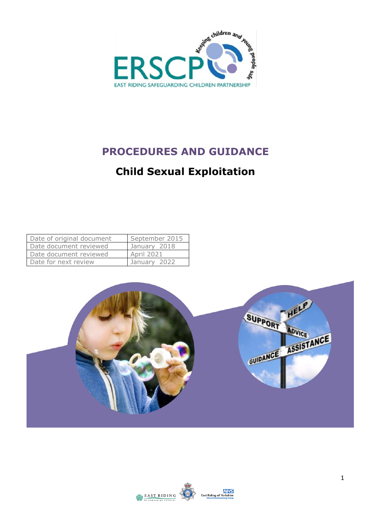

# **PROCEDURES AND GUIDANCE**

# **Child Sexual Exploitation**

| Date of original document | September 2015    |
|---------------------------|-------------------|
| Date document reviewed    | January 2018      |
| Date document reviewed    | <b>April 2021</b> |
| Date for next review      | January 2022      |



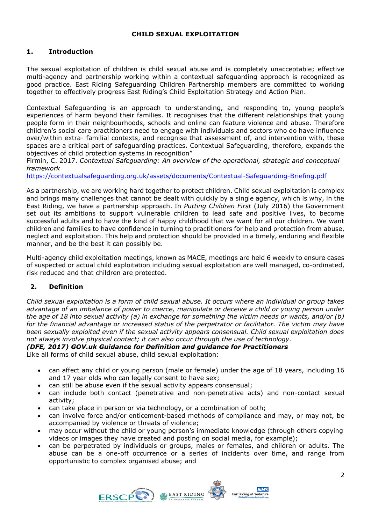## **CHILD SEXUAL EXPLOITATION**

#### **1. Introduction**

The sexual exploitation of children is child sexual abuse and is completely unacceptable; effective multi-agency and partnership working within a contextual safeguarding approach is recognized as good practice. East Riding Safeguarding Children Partnership members are committed to working together to effectively progress East Riding's Child Exploitation Strategy and Action Plan.

Contextual Safeguarding is an approach to understanding, and responding to, young people's experiences of harm beyond their families. It recognises that the different relationships that young people form in their neighbourhoods, schools and online can feature violence and abuse. Therefore children's social care practitioners need to engage with individuals and sectors who do have influence over/within extra- familial contexts, and recognise that assessment of, and intervention with, these spaces are a critical part of safeguarding practices. Contextual Safeguarding, therefore, expands the objectives of child protection systems in recognition"

Firmin, C. 2017. *Contextual Safeguarding: An overview of the operational, strategic and conceptual framework* 

<https://contextualsafeguarding.org.uk/assets/documents/Contextual-Safeguarding-Briefing.pdf>

As a partnership, we are working hard together to protect children. Child sexual exploitation is complex and brings many challenges that cannot be dealt with quickly by a single agency, which is why, in the East Riding, we have a partnership approach. In *Putting Children First* (July 2016) the Government set out its ambitions to support vulnerable children to lead safe and positive lives, to become successful adults and to have the kind of happy childhood that we want for all our children. We want children and families to have confidence in turning to practitioners for help and protection from abuse, neglect and exploitation. This help and protection should be provided in a timely, enduring and flexible manner, and be the best it can possibly be.

Multi-agency child exploitation meetings, known as MACE, meetings are held 6 weekly to ensure cases of suspected or actual child exploitation including sexual exploitation are well managed, co-ordinated, risk reduced and that children are protected.

## **2. Definition**

*Child sexual exploitation is a form of child sexual abuse. It occurs where an individual or group takes advantage of an imbalance of power to coerce, manipulate or deceive a child or young person under the age of 18 into sexual activity (a) in exchange for something the victim needs or wants, and/or (b) for the financial advantage or increased status of the perpetrator or facilitator. The victim may have been sexually exploited even if the sexual activity appears consensual. Child sexual exploitation does not always involve physical contact; it can also occur through the use of technology.* 

#### *(DFE, 2017) GOV.uk Guidance for Definition and guidance for Practitioners*

Like all forms of child sexual abuse, child sexual exploitation:

- can affect any child or young person (male or female) under the age of 18 years, including 16 and 17 year olds who can legally consent to have sex;
- can still be abuse even if the sexual activity appears consensual;
- can include both contact (penetrative and non-penetrative acts) and non-contact sexual activity;
- can take place in person or via technology, or a combination of both;
- can involve force and/or enticement-based methods of compliance and may, or may not, be accompanied by violence or threats of violence;
- may occur without the child or young person's immediate knowledge (through others copying videos or images they have created and posting on social media, for example);
- can be perpetrated by individuals or groups, males or females, and children or adults. The abuse can be a one-off occurrence or a series of incidents over time, and range from opportunistic to complex organised abuse; and

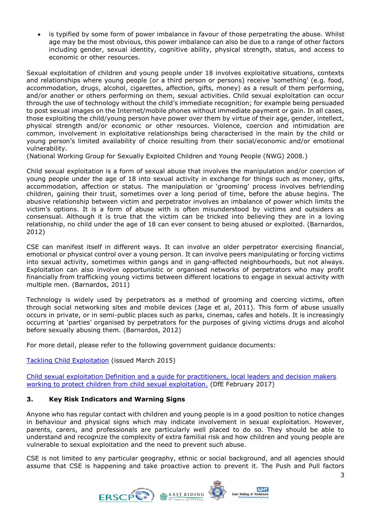is typified by some form of power imbalance in favour of those perpetrating the abuse. Whilst age may be the most obvious, this power imbalance can also be due to a range of other factors including gender, sexual identity, cognitive ability, physical strength, status, and access to economic or other resources.

Sexual exploitation of children and young people under 18 involves exploitative situations, contexts and relationships where young people (or a third person or persons) receive 'something' (e.g. food, accommodation, drugs, alcohol, cigarettes, affection, gifts, money) as a result of them performing, and/or another or others performing on them, sexual activities. Child sexual exploitation can occur through the use of technology without the child's immediate recognition; for example being persuaded to post sexual images on the Internet/mobile phones without immediate payment or gain. In all cases, those exploiting the child/young person have power over them by virtue of their age, gender, intellect, physical strength and/or economic or other resources. Violence, coercion and intimidation are common, involvement in exploitative relationships being characterised in the main by the child or young person's limited availability of choice resulting from their social/economic and/or emotional vulnerability.

(National Working Group for Sexually Exploited Children and Young People (NWG) 2008.)

Child sexual exploitation is a form of sexual abuse that involves the manipulation and/or coercion of young people under the age of 18 into sexual activity in exchange for things such as money, gifts, accommodation, affection or status. The manipulation or 'grooming' process involves befriending children, gaining their trust, sometimes over a long period of time, before the abuse begins. The abusive relationship between victim and perpetrator involves an imbalance of power which limits the victim's options. It is a form of abuse with is often misunderstood by victims and outsiders as consensual. Although it is true that the victim can be tricked into believing they are in a loving relationship, no child under the age of 18 can ever consent to being abused or exploited. (Barnardos, 2012)

CSE can manifest itself in different ways. It can involve an older perpetrator exercising financial, emotional or physical control over a young person. It can involve peers manipulating or forcing victims into sexual activity, sometimes within gangs and in gang-affected neighbourhoods, but not always. Exploitation can also involve opportunistic or organised networks of perpetrators who may profit financially from trafficking young victims between different locations to engage in sexual activity with multiple men. (Barnardos, 2011)

Technology is widely used by perpetrators as a method of grooming and coercing victims, often through social networking sites and mobile devices (Jage et al, 2011). This form of abuse usually occurs in private, or in semi-public places such as parks, cinemas, cafes and hotels. It is increasingly occurring at 'parties' organised by perpetrators for the purposes of giving victims drugs and alcohol before sexually abusing them. (Barnardos, 2012)

For more detail, please refer to the following government guidance documents:

[Tackling Child Exploitation](https://www.gov.uk/government/uploads/system/uploads/attachment_data/file/408604/2903652_RotherhamResponse_acc2.pdf) (issued March 2015)

Child sexual exploitation Definition [and a guide for practitioners, local leaders and decision makers](https://assets.publishing.service.gov.uk/government/uploads/system/uploads/attachment_data/file/591903/CSE_Guidance_Core_Document_13.02.2017.pdf)  [working to protect children from child sexual exploitation.](https://assets.publishing.service.gov.uk/government/uploads/system/uploads/attachment_data/file/591903/CSE_Guidance_Core_Document_13.02.2017.pdf) (DfE February 2017)

## **3. Key Risk Indicators and Warning Signs**

Anyone who has regular contact with children and young people is in a good position to notice changes in behaviour and physical signs which may indicate involvement in sexual exploitation. However, parents, carers, and professionals are particularly well placed to do so. They should be able to understand and recognize the complexity of extra familial risk and how children and young people are vulnerable to sexual exploitation and the need to prevent such abuse.

CSE is not limited to any particular geography, ethnic or social background, and all agencies should assume that CSE is happening and take proactive action to prevent it. The Push and Pull factors

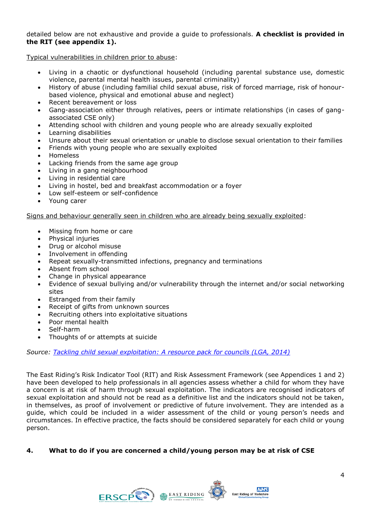#### detailed below are not exhaustive and provide a guide to professionals. **A checklist is provided in the RIT (see appendix 1).**

Typical vulnerabilities in children prior to abuse:

- Living in a chaotic or dysfunctional household (including parental substance use, domestic violence, parental mental health issues, parental criminality)
- History of abuse (including familial child sexual abuse, risk of forced marriage, risk of honourbased violence, physical and emotional abuse and neglect)
- Recent bereavement or loss
- Gang-association either through relatives, peers or intimate relationships (in cases of gangassociated CSE only)
- Attending school with children and young people who are already sexually exploited
- Learning disabilities
- Unsure about their sexual orientation or unable to disclose sexual orientation to their families
- Friends with young people who are sexually exploited
- Homeless
- Lacking friends from the same age group
- Living in a gang neighbourhood
- Living in residential care
- Living in hostel, bed and breakfast accommodation or a foyer
- Low self-esteem or self-confidence
- Young carer

Signs and behaviour generally seen in children who are already being sexually exploited:

- Missing from home or care
- Physical injuries
- Drug or alcohol misuse
- Involvement in offending
- Repeat sexually-transmitted infections, pregnancy and terminations
- Absent from school
- Change in physical appearance
- Evidence of sexual bullying and/or vulnerability through the internet and/or social networking sites
- Estranged from their family
- Receipt of gifts from unknown sources
- Recruiting others into exploitative situations
- Poor mental health
- Self-harm
- Thoughts of or attempts at suicide

*Source: [Tackling child sexual exploitation: A resource pack for councils \(LGA, 2014\)](http://www.local.gov.uk/documents/10180/6869714/Tackling+Child+Sexual+Exploitation+Resource+for+Councils+20+01+2015.pdf/336aee0a-22fc-4a88-bd92-b26a6118241c)*

The East Riding's Risk Indicator Tool (RIT) and Risk Assessment Framework (see Appendices 1 and 2) have been developed to help professionals in all agencies assess whether a child for whom they have a concern is at risk of harm through sexual exploitation. The indicators are recognised indicators of sexual exploitation and should not be read as a definitive list and the indicators should not be taken, in themselves, as proof of involvement or predictive of future involvement. They are intended as a guide, which could be included in a wider assessment of the child or young person's needs and circumstances. In effective practice, the facts should be considered separately for each child or young person.

## **4. What to do if you are concerned a child/young person may be at risk of CSE**

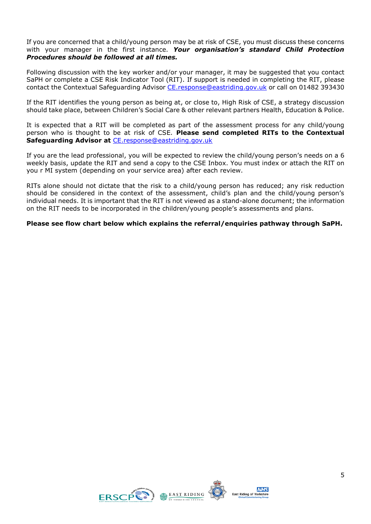If you are concerned that a child/young person may be at risk of CSE, you must discuss these concerns with your manager in the first instance. *Your organisation's standard Child Protection Procedures should be followed at all times.*

Following discussion with the key worker and/or your manager, it may be suggested that you contact SaPH or complete a CSE Risk Indicator Tool (RIT). If support is needed in completing the RIT, please contact the Contextual Safeguarding Advisor [CE.response@eastriding.gov.uk](mailto:CE.response@eastriding.gov.uk) or call on 01482 393430

If the RIT identifies the young person as being at, or close to, High Risk of CSE, a strategy discussion should take place, between Children's Social Care & other relevant partners Health, Education & Police.

It is expected that a RIT will be completed as part of the assessment process for any child/young person who is thought to be at risk of CSE. **Please send completed RITs to the Contextual Safeguarding Advisor at** [CE.response@eastriding.gov.uk](mailto:CE.response@eastriding.gov.uk)

If you are the lead professional, you will be expected to review the child/young person's needs on a 6 weekly basis, update the RIT and send a copy to the CSE Inbox. You must index or attach the RIT on you r MI system (depending on your service area) after each review.

RITs alone should not dictate that the risk to a child/young person has reduced; any risk reduction should be considered in the context of the assessment, child's plan and the child/young person's individual needs. It is important that the RIT is not viewed as a stand-alone document; the information on the RIT needs to be incorporated in the children/young people's assessments and plans.

#### **Please see flow chart below which explains the referral/enquiries pathway through SaPH.**

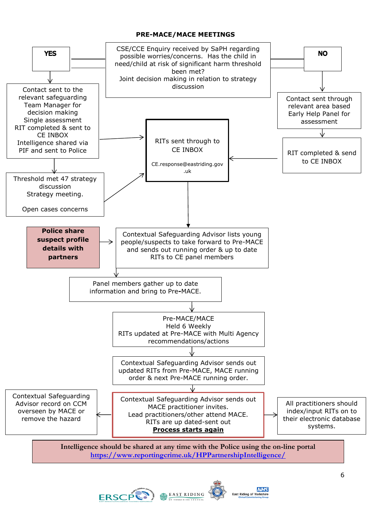# **PRE-MACE/MACE MEETINGS**



**Intelligence should be shared at any time with the Police using the on-line portal <https://www.reportingcrime.uk/HPPartnershipIntelligence/>**

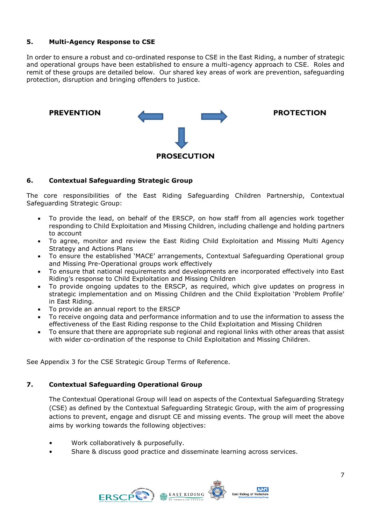# **5. Multi-Agency Response to CSE**

In order to ensure a robust and co-ordinated response to CSE in the East Riding, a number of strategic and operational groups have been established to ensure a multi-agency approach to CSE. Roles and remit of these groups are detailed below. Our shared key areas of work are prevention, safeguarding protection, disruption and bringing offenders to justice.



## **6. Contextual Safeguarding Strategic Group**

The core responsibilities of the East Riding Safeguarding Children Partnership, Contextual Safeguarding Strategic Group:

- To provide the lead, on behalf of the ERSCP, on how staff from all agencies work together responding to Child Exploitation and Missing Children, including challenge and holding partners to account
- To agree, monitor and review the East Riding Child Exploitation and Missing Multi Agency Strategy and Actions Plans
- To ensure the established 'MACE' arrangements, Contextual Safeguarding Operational group and Missing Pre-Operational groups work effectively
- To ensure that national requirements and developments are incorporated effectively into East Riding's response to Child Exploitation and Missing Children
- To provide ongoing updates to the ERSCP, as required, which give updates on progress in strategic implementation and on Missing Children and the Child Exploitation 'Problem Profile' in East Riding.
- To provide an annual report to the ERSCP
- To receive ongoing data and performance information and to use the information to assess the effectiveness of the East Riding response to the Child Exploitation and Missing Children
- To ensure that there are appropriate sub regional and regional links with other areas that assist with wider co-ordination of the response to Child Exploitation and Missing Children.

See Appendix 3 for the CSE Strategic Group Terms of Reference.

## **7. Contextual Safeguarding Operational Group**

The Contextual Operational Group will lead on aspects of the Contextual Safeguarding Strategy (CSE) as defined by the Contextual Safeguarding Strategic Group, with the aim of progressing actions to prevent, engage and disrupt CE and missing events. The group will meet the above aims by working towards the following objectives:

- Work collaboratively & purposefully.
- Share & discuss good practice and disseminate learning across services.

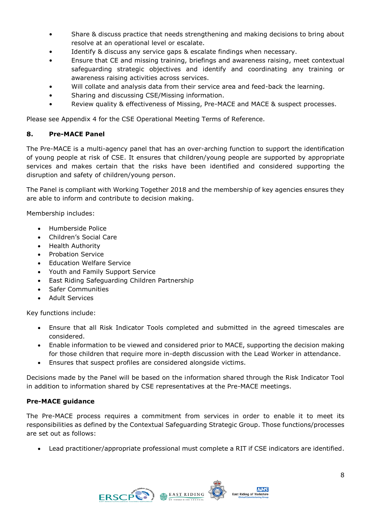- Share & discuss practice that needs strengthening and making decisions to bring about resolve at an operational level or escalate.
- Identify & discuss any service gaps & escalate findings when necessary.
- Ensure that CE and missing training, briefings and awareness raising, meet contextual safeguarding strategic objectives and identify and coordinating any training or awareness raising activities across services.
- Will collate and analysis data from their service area and feed-back the learning.
- Sharing and discussing CSE/Missing information.
- Review quality & effectiveness of Missing, Pre-MACE and MACE & suspect processes.

Please see Appendix 4 for the CSE Operational Meeting Terms of Reference.

# **8. Pre-MACE Panel**

The Pre-MACE is a multi-agency panel that has an over-arching function to support the identification of young people at risk of CSE. It ensures that children/young people are supported by appropriate services and makes certain that the risks have been identified and considered supporting the disruption and safety of children/young person.

The Panel is compliant with Working Together 2018 and the membership of key agencies ensures they are able to inform and contribute to decision making.

Membership includes:

- Humberside Police
- Children's Social Care
- Health Authority
- Probation Service
- Education Welfare Service
- Youth and Family Support Service
- East Riding Safeguarding Children Partnership
- Safer Communities
- Adult Services

Key functions include:

- Ensure that all Risk Indicator Tools completed and submitted in the agreed timescales are considered.
- Enable information to be viewed and considered prior to MACE, supporting the decision making for those children that require more in-depth discussion with the Lead Worker in attendance.
- Ensures that suspect profiles are considered alongside victims.

Decisions made by the Panel will be based on the information shared through the Risk Indicator Tool in addition to information shared by CSE representatives at the Pre-MACE meetings.

## **Pre-MACE guidance**

The Pre-MACE process requires a commitment from services in order to enable it to meet its responsibilities as defined by the Contextual Safeguarding Strategic Group. Those functions/processes are set out as follows:

Lead practitioner/appropriate professional must complete a RIT if CSE indicators are identified.

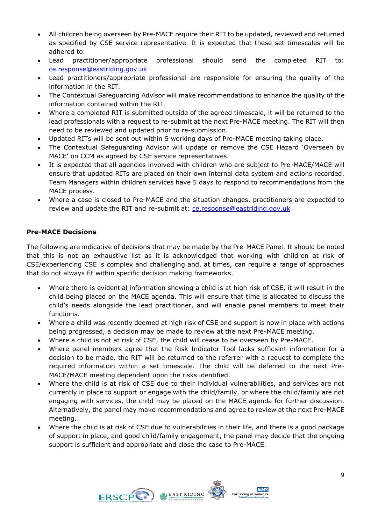- All children being overseen by Pre-MACE require their RIT to be updated, reviewed and returned as specified by CSE service representative. It is expected that these set timescales will be adhered to.
- Lead practitioner/appropriate professional should send the completed RIT to: [ce.response@eastriding.gov.uk](mailto:ce.response@eastriding.gov.uk)
- Lead practitioners/appropriate professional are responsible for ensuring the quality of the information in the RIT.
- The Contextual Safeguarding Advisor will make recommendations to enhance the quality of the information contained within the RIT.
- Where a completed RIT is submitted outside of the agreed timescale, it will be returned to the lead professionals with a request to re-submit at the next Pre-MACE meeting. The RIT will then need to be reviewed and updated prior to re-submission.
- Updated RITs will be sent out within 5 working days of Pre-MACE meeting taking place.
- The Contextual Safeguarding Advisor will update or remove the CSE Hazard 'Overseen by MACE' on CCM as agreed by CSE service representatives.
- It is expected that all agencies involved with children who are subject to Pre-MACE/MACE will ensure that updated RITs are placed on their own internal data system and actions recorded. Team Managers within children services have 5 days to respond to recommendations from the MACE process.
- Where a case is closed to Pre-MACE and the situation changes, practitioners are expected to review and update the RIT and re-submit at: [ce.response@eastriding.gov.uk](mailto:ce.response@eastriding.gov.uk)

# **Pre-MACE Decisions**

The following are indicative of decisions that may be made by the Pre-MACE Panel. It should be noted that this is not an exhaustive list as it is acknowledged that working with children at risk of CSE/experiencing CSE is complex and challenging and, at times, can require a range of approaches that do not always fit within specific decision making frameworks.

- Where there is evidential information showing a child is at high risk of CSE, it will result in the child being placed on the MACE agenda. This will ensure that time is allocated to discuss the child's needs alongside the lead practitioner, and will enable panel members to meet their functions.
- Where a child was recently deemed at high risk of CSE and support is now in place with actions being progressed, a decision may be made to review at the next Pre-MACE meeting.
- Where a child is not at risk of CSE, the child will cease to be overseen by Pre-MACE.
- Where panel members agree that the Risk Indicator Tool lacks sufficient information for a decision to be made, the RIT will be returned to the referrer with a request to complete the required information within a set timescale. The child will be deferred to the next Pre-MACE/MACE meeting dependent upon the risks identified.
- Where the child is at risk of CSE due to their individual vulnerabilities, and services are not currently in place to support or engage with the child/family, or where the child/family are not engaging with services, the child may be placed on the MACE agenda for further discussion. Alternatively, the panel may make recommendations and agree to review at the next Pre-MACE meeting.
- Where the child is at risk of CSE due to vulnerabilities in their life, and there is a good package of support in place, and good child/family engagement, the panel may decide that the ongoing support is sufficient and appropriate and close the case to Pre-MACE.

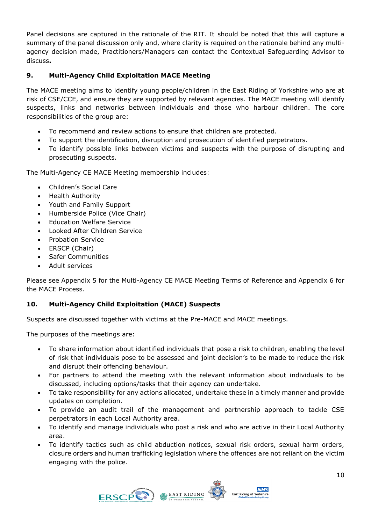Panel decisions are captured in the rationale of the RIT. It should be noted that this will capture a summary of the panel discussion only and, where clarity is required on the rationale behind any multiagency decision made, Practitioners/Managers can contact the Contextual Safeguarding Advisor to discuss**.**

# **9. Multi-Agency Child Exploitation MACE Meeting**

The MACE meeting aims to identify young people/children in the East Riding of Yorkshire who are at risk of CSE/CCE, and ensure they are supported by relevant agencies. The MACE meeting will identify suspects, links and networks between individuals and those who harbour children. The core responsibilities of the group are:

- To recommend and review actions to ensure that children are protected.
- To support the identification, disruption and prosecution of identified perpetrators.
- To identify possible links between victims and suspects with the purpose of disrupting and prosecuting suspects.

The Multi-Agency CE MACE Meeting membership includes:

- Children's Social Care
- Health Authority
- Youth and Family Support
- Humberside Police (Vice Chair)
- Education Welfare Service
- Looked After Children Service
- Probation Service
- ERSCP (Chair)
- Safer Communities
- Adult services

Please see Appendix 5 for the Multi-Agency CE MACE Meeting Terms of Reference and Appendix 6 for the MACE Process.

# **10. Multi-Agency Child Exploitation (MACE) Suspects**

Suspects are discussed together with victims at the Pre-MACE and MACE meetings.

The purposes of the meetings are:

- To share information about identified individuals that pose a risk to children, enabling the level of risk that individuals pose to be assessed and joint decision's to be made to reduce the risk and disrupt their offending behaviour.
- For partners to attend the meeting with the relevant information about individuals to be discussed, including options/tasks that their agency can undertake.
- To take responsibility for any actions allocated, undertake these in a timely manner and provide updates on completion.
- To provide an audit trail of the management and partnership approach to tackle CSE perpetrators in each Local Authority area.
- To identify and manage individuals who post a risk and who are active in their Local Authority area.
- To identify tactics such as child abduction notices, sexual risk orders, sexual harm orders, closure orders and human trafficking legislation where the offences are not reliant on the victim engaging with the police.

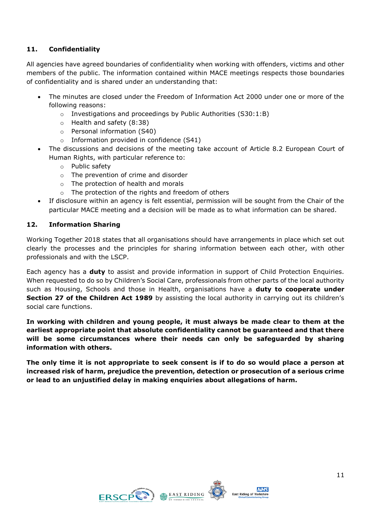# **11. Confidentiality**

All agencies have agreed boundaries of confidentiality when working with offenders, victims and other members of the public. The information contained within MACE meetings respects those boundaries of confidentiality and is shared under an understanding that:

- The minutes are closed under the Freedom of Information Act 2000 under one or more of the following reasons:
	- o Investigations and proceedings by Public Authorities (S30:1:B)
	- o Health and safety (8:38)
	- o Personal information (S40)
	- o Information provided in confidence (S41)
- The discussions and decisions of the meeting take account of Article 8.2 European Court of Human Rights, with particular reference to:
	- o Public safety
	- o The prevention of crime and disorder
	- o The protection of health and morals
	- o The protection of the rights and freedom of others
- If disclosure within an agency is felt essential, permission will be sought from the Chair of the particular MACE meeting and a decision will be made as to what information can be shared.

# **12. Information Sharing**

Working Together 2018 states that all organisations should have arrangements in place which set out clearly the processes and the principles for sharing information between each other, with other professionals and with the LSCP.

Each agency has a **duty** to assist and provide information in support of Child Protection Enquiries. When requested to do so by Children's Social Care, professionals from other parts of the local authority such as Housing, Schools and those in Health, organisations have a **duty to cooperate under Section 27 of the Children Act 1989** by assisting the local authority in carrying out its children's social care functions.

**In working with children and young people, it must always be made clear to them at the earliest appropriate point that absolute confidentiality cannot be guaranteed and that there will be some circumstances where their needs can only be safeguarded by sharing information with others.**

**The only time it is not appropriate to seek consent is if to do so would place a person at increased risk of harm, prejudice the prevention, detection or prosecution of a serious crime or lead to an unjustified delay in making enquiries about allegations of harm.** 

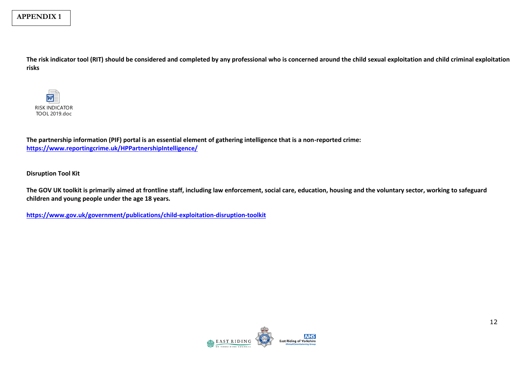**APPENDIX 1**

**The risk indicator tool (RIT) should be considered and completed by any professional who is concerned around the child sexual exploitation and child criminal exploitation risks**



**The partnership information (PIF) portal is an essential element of gathering intelligence that is a non-reported crime: <https://www.reportingcrime.uk/HPPartnershipIntelligence/>**

**Disruption Tool Kit**

**The GOV UK toolkit is primarily aimed at frontline staff, including law enforcement, social care, education, housing and the voluntary sector, working to safeguard children and young people under the age 18 years.**

**[https://www.gov.uk/government/publications/child-exploitation-disruption-toolkit](https://eur01.safelinks.protection.outlook.com/?url=https%3A%2F%2Fwww.gov.uk%2Fgovernment%2Fpublications%2Fchild-exploitation-disruption-toolkit&data=04%7C01%7Cmargaret.wood%40eastriding.gov.uk%7C8636d39fe19f4528688308d90b04165e%7C351368d19b5a4c8bac76f39b4c7dd76c%7C1%7C0%7C637552934439456830%7CUnknown%7CTWFpbGZsb3d8eyJWIjoiMC4wLjAwMDAiLCJQIjoiV2luMzIiLCJBTiI6Ik1haWwiLCJXVCI6Mn0%3D%7C1000&sdata=hpQBnfzjjzlRRjk4SWj9y8iLtsOch7fo%2B7qNMjngPEI%3D&reserved=0)**

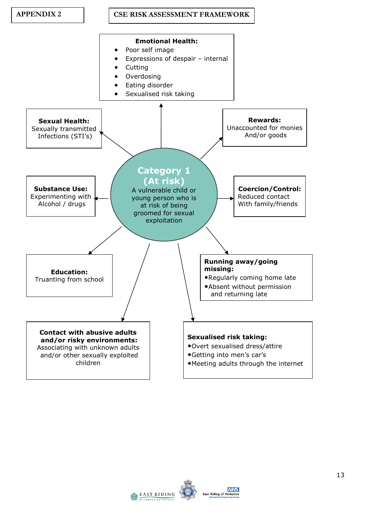

# **APPENDIX 2 CSE RISK ASSESSMENT FRAMEWORK**



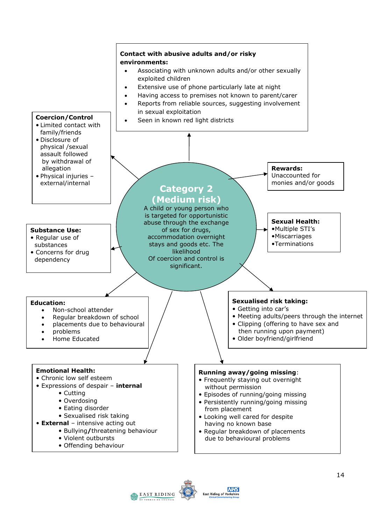

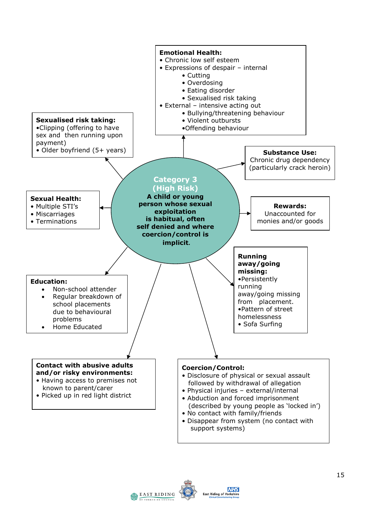

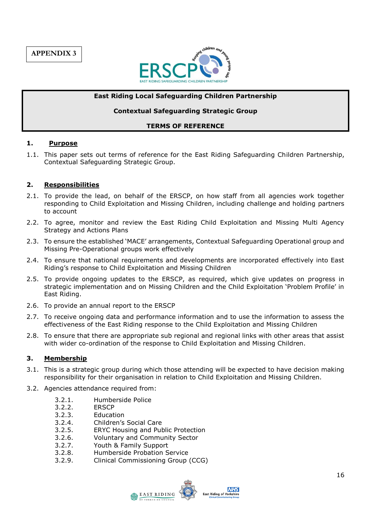

#### **East Riding Local Safeguarding Children Partnership**

#### **Contextual Safeguarding Strategic Group**

#### **TERMS OF REFERENCE**

#### **1. Purpose**

1.1. This paper sets out terms of reference for the East Riding Safeguarding Children Partnership, Contextual Safeguarding Strategic Group.

#### **2. Responsibilities**

- 2.1. To provide the lead, on behalf of the ERSCP, on how staff from all agencies work together responding to Child Exploitation and Missing Children, including challenge and holding partners to account
- 2.2. To agree, monitor and review the East Riding Child Exploitation and Missing Multi Agency Strategy and Actions Plans
- 2.3. To ensure the established 'MACE' arrangements, Contextual Safeguarding Operational group and Missing Pre-Operational groups work effectively
- 2.4. To ensure that national requirements and developments are incorporated effectively into East Riding's response to Child Exploitation and Missing Children
- 2.5. To provide ongoing updates to the ERSCP, as required, which give updates on progress in strategic implementation and on Missing Children and the Child Exploitation 'Problem Profile' in East Riding.
- 2.6. To provide an annual report to the ERSCP
- 2.7. To receive ongoing data and performance information and to use the information to assess the effectiveness of the East Riding response to the Child Exploitation and Missing Children
- 2.8. To ensure that there are appropriate sub regional and regional links with other areas that assist with wider co-ordination of the response to Child Exploitation and Missing Children.

## **3. Membership**

- 3.1. This is a strategic group during which those attending will be expected to have decision making responsibility for their organisation in relation to Child Exploitation and Missing Children.
- 3.2. Agencies attendance required from:
	- 3.2.1. Humberside Police
	- 3.2.2. ERSCP
	- 3.2.3. Education
	- 3.2.4. Children's Social Care
	- 3.2.5. ERYC Housing and Public Protection
	- 3.2.6. Voluntary and Community Sector
	- 3.2.7. Youth & Family Support
	- 3.2.8. Humberside Probation Service
	- 3.2.9. Clinical Commissioning Group (CCG)

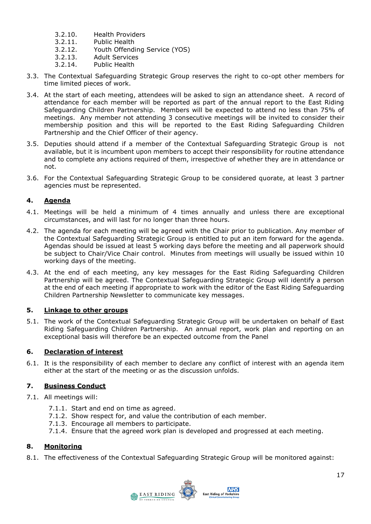- 3.2.10. Health Providers
- 3.2.11. Public Health
- 3.2.12. Youth Offending Service (YOS)
- 3.2.13. Adult Services
- 3.2.14. Public Health
- 3.3. The Contextual Safeguarding Strategic Group reserves the right to co-opt other members for time limited pieces of work.
- 3.4. At the start of each meeting, attendees will be asked to sign an attendance sheet. A record of attendance for each member will be reported as part of the annual report to the East Riding Safeguarding Children Partnership. Members will be expected to attend no less than 75% of meetings. Any member not attending 3 consecutive meetings will be invited to consider their membership position and this will be reported to the East Riding Safeguarding Children Partnership and the Chief Officer of their agency.
- 3.5. Deputies should attend if a member of the Contextual Safeguarding Strategic Group is not available, but it is incumbent upon members to accept their responsibility for routine attendance and to complete any actions required of them, irrespective of whether they are in attendance or not.
- 3.6. For the Contextual Safeguarding Strategic Group to be considered quorate, at least 3 partner agencies must be represented.

# **4. Agenda**

- 4.1. Meetings will be held a minimum of 4 times annually and unless there are exceptional circumstances, and will last for no longer than three hours.
- 4.2. The agenda for each meeting will be agreed with the Chair prior to publication. Any member of the Contextual Safeguarding Strategic Group is entitled to put an item forward for the agenda. Agendas should be issued at least 5 working days before the meeting and all paperwork should be subject to Chair/Vice Chair control. Minutes from meetings will usually be issued within 10 working days of the meeting.
- 4.3. At the end of each meeting, any key messages for the East Riding Safeguarding Children Partnership will be agreed. The Contextual Safeguarding Strategic Group will identify a person at the end of each meeting if appropriate to work with the editor of the East Riding Safeguarding Children Partnership Newsletter to communicate key messages.

## **5. Linkage to other groups**

5.1. The work of the Contextual Safeguarding Strategic Group will be undertaken on behalf of East Riding Safeguarding Children Partnership. An annual report, work plan and reporting on an exceptional basis will therefore be an expected outcome from the Panel

#### **6. Declaration of interest**

6.1. It is the responsibility of each member to declare any conflict of interest with an agenda item either at the start of the meeting or as the discussion unfolds.

## **7. Business Conduct**

- 7.1. All meetings will:
	- 7.1.1. Start and end on time as agreed.
	- 7.1.2. Show respect for, and value the contribution of each member.
	- 7.1.3. Encourage all members to participate.
	- 7.1.4. Ensure that the agreed work plan is developed and progressed at each meeting.

## **8. Monitoring**

8.1. The effectiveness of the Contextual Safeguarding Strategic Group will be monitored against:

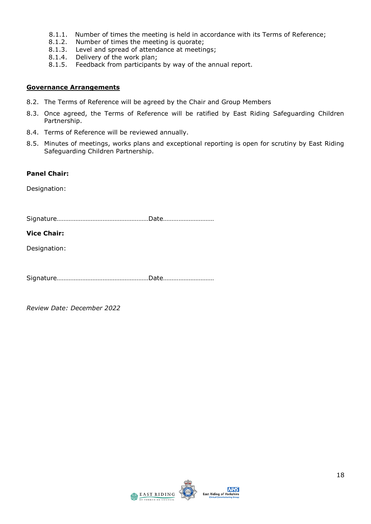- 8.1.1. Number of times the meeting is held in accordance with its Terms of Reference;
- 8.1.2. Number of times the meeting is quorate;<br>8.1.3. Level and spread of attendance at meeting
- Level and spread of attendance at meetings;
- 8.1.4. Delivery of the work plan;
- 8.1.5. Feedback from participants by way of the annual report.

#### **Governance Arrangements**

- 8.2. The Terms of Reference will be agreed by the Chair and Group Members
- 8.3. Once agreed, the Terms of Reference will be ratified by East Riding Safeguarding Children Partnership.
- 8.4. Terms of Reference will be reviewed annually.
- 8.5. Minutes of meetings, works plans and exceptional reporting is open for scrutiny by East Riding Safeguarding Children Partnership.

## **Panel Chair:**

Designation:

Signature………………………………………………Date…………………………

# **Vice Chair:**

Designation:

Signature………………………………………………Date…………………………

*Review Date: December 2022*

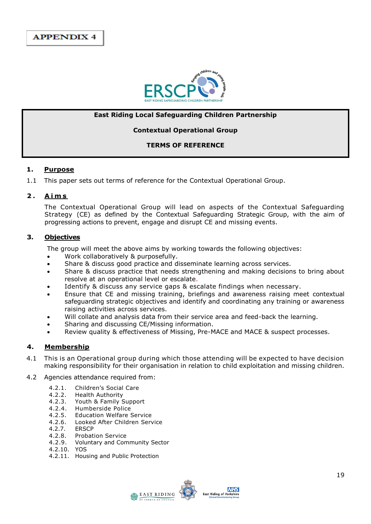

#### **East Riding Local Safeguarding Children Partnership**

#### **Contextual Operational Group**

## **TERMS OF REFERENCE**

#### **1. Purpose**

1.1 This paper sets out terms of reference for the Contextual Operational Group.

#### **2 . A i m s**

The Contextual Operational Group will lead on aspects of the Contextual Safeguarding Strategy (CE) as defined by the Contextual Safeguarding Strategic Group, with the aim of progressing actions to prevent, engage and disrupt CE and missing events.

#### **3. Objectives**

The group will meet the above aims by working towards the following objectives:

- Work collaboratively & purposefully.
- Share & discuss good practice and disseminate learning across services.
- Share & discuss practice that needs strengthening and making decisions to bring about resolve at an operational level or escalate.
- Identify & discuss any service gaps & escalate findings when necessary.
- Ensure that CE and missing training, briefings and awareness raising meet contextual safeguarding strategic objectives and identify and coordinating any training or awareness raising activities across services.
- Will collate and analysis data from their service area and feed-back the learning.
- Sharing and discussing CE/Missing information.
- Review quality & effectiveness of Missing, Pre-MACE and MACE & suspect processes.

## **4. Membership**

- 4.1 This is an Operational group during which those attending will be expected to have decision making responsibility for their organisation in relation to child exploitation and missing children.
- 4.2 Agencies attendance required from:
	- 4.2.1. Children's Social Care
	- 4.2.2. Health Authority
	- 4.2.3. Youth & Family Support
	- 4.2.4. Humberside Police
	- 4.2.5. Education Welfare Service
	- 4.2.6. Looked After Children Service
	- 4.2.7. ERSCP
	- 4.2.8. Probation Service<br>4.2.9. Voluntarv and Com
	- 4.2.9. Voluntary and Community Sector
	- 4.2.10. YOS
	- 4.2.11. Housing and Public Protection

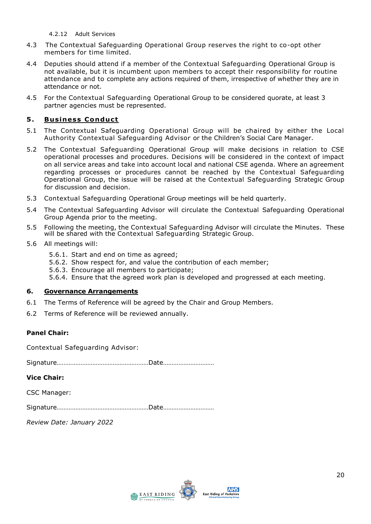4.2.12 Adult Services

- 4.3 The Contextual Safeguarding Operational Group reserves the right to co-opt other members for time limited.
- 4.4 Deputies should attend if a member of the Contextual Safeguarding Operational Group is not available, but it is incumbent upon members to accept their responsibility for routine attendance and to complete any actions required of them, irrespective of whether they are in attendance or not.
- 4.5 For the Contextual Safeguarding Operational Group to be considered quorate, at least 3 partner agencies must be represented.

## **5 . Bus iness Conduct**

- 5.1 The Contextual Safeguarding Operational Group will be chaired by either the Local Authority Contextual Safeguarding Advisor or the Children's Social Care Manager.
- 5.2 The Contextual Safeguarding Operational Group will make decisions in relation to CSE operational processes and procedures. Decisions will be considered in the context of impact on all service areas and take into account local and national CSE agenda. Where an agreement regarding processes or procedures cannot be reached by the Contextual Safeguarding Operational Group, the issue will be raised at the Contextual Safeguarding Strategic Group for discussion and decision.
- 5.3 Contextual Safeguarding Operational Group meetings will be held quarterly.
- 5.4 The Contextual Safeguarding Advisor will circulate the Contextual Safeguarding Operational Group Agenda prior to the meeting.
- 5.5 Following the meeting, the Contextual Safeguarding Advisor will circulate the Minutes. These will be shared with the Contextual Safeguarding Strategic Group.
- 5.6 All meetings will:
	- 5.6.1. Start and end on time as agreed;
	- 5.6.2. Show respect for, and value the contribution of each member;
	- 5.6.3. Encourage all members to participate;
	- 5.6.4. Ensure that the agreed work plan is developed and progressed at each meeting.

## **6. Governance Arrangements**

- 6.1 The Terms of Reference will be agreed by the Chair and Group Members.
- 6.2 Terms of Reference will be reviewed annually.

## **Panel Chair:**

Contextual Safeguarding Advisor:

Signature………………………………………………Date…………………………

**Vice Chair:** 

CSC Manager:

Signature………………………………………………Date…………………………

*Review Date: January 2022*

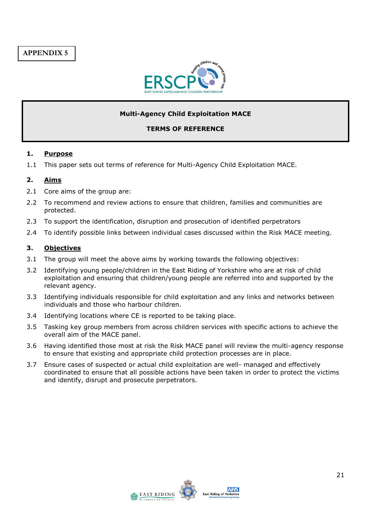

# **Multi-Agency Child Exploitation MACE**

#### **TERMS OF REFERENCE**

#### **1. Purpose**

1.1 This paper sets out terms of reference for Multi-Agency Child Exploitation MACE.

#### **2. Aims**

- 2.1 Core aims of the group are:
- 2.2 To recommend and review actions to ensure that children, families and communities are protected.
- 2.3 To support the identification, disruption and prosecution of identified perpetrators
- 2.4 To identify possible links between individual cases discussed within the Risk MACE meeting.

## **3. Objectives**

- 3.1 The group will meet the above aims by working towards the following objectives:
- 3.2 Identifying young people/children in the East Riding of Yorkshire who are at risk of child exploitation and ensuring that children/young people are referred into and supported by the relevant agency.
- 3.3 Identifying individuals responsible for child exploitation and any links and networks between individuals and those who harbour children.
- 3.4 Identifying locations where CE is reported to be taking place.
- 3.5 Tasking key group members from across children services with specific actions to achieve the overall aim of the MACE panel.
- 3.6 Having identified those most at risk the Risk MACE panel will review the multi-agency response to ensure that existing and appropriate child protection processes are in place.
- 3.7 Ensure cases of suspected or actual child exploitation are well- managed and effectively coordinated to ensure that all possible actions have been taken in order to protect the victims and identify, disrupt and prosecute perpetrators.

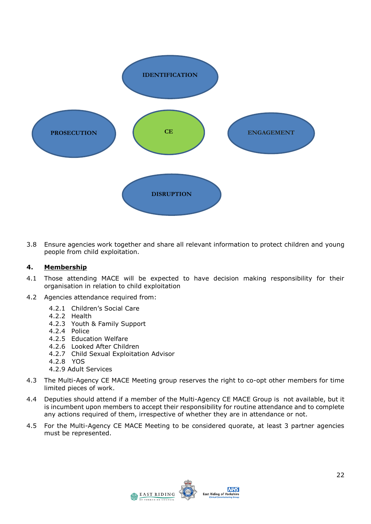

3.8 Ensure agencies work together and share all relevant information to protect children and young people from child exploitation.

## **4. Membership**

- 4.1 Those attending MACE will be expected to have decision making responsibility for their organisation in relation to child exploitation
- 4.2 Agencies attendance required from:
	- 4.2.1 Children's Social Care
	- 4.2.2 Health
	- 4.2.3 Youth & Family Support
	- 4.2.4 Police
	- 4.2.5 Education Welfare
	- 4.2.6 Looked After Children
	- 4.2.7 Child Sexual Exploitation Advisor
	- 4.2.8 YOS
	- 4.2.9 Adult Services
- 4.3 The Multi-Agency CE MACE Meeting group reserves the right to co-opt other members for time limited pieces of work.
- 4.4 Deputies should attend if a member of the Multi-Agency CE MACE Group is not available, but it is incumbent upon members to accept their responsibility for routine attendance and to complete any actions required of them, irrespective of whether they are in attendance or not.
- 4.5 For the Multi-Agency CE MACE Meeting to be considered quorate, at least 3 partner agencies must be represented.